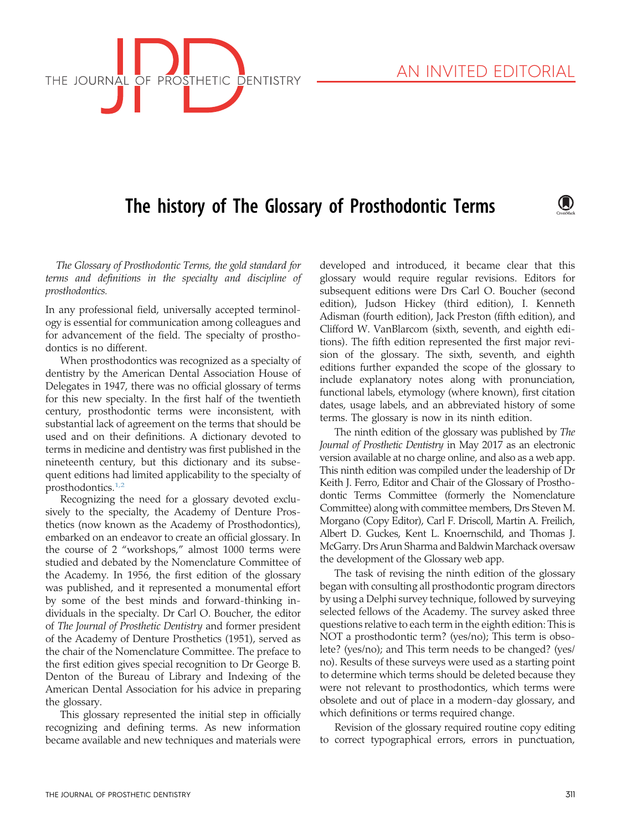

 $\left( \blacksquare \right)$ 

# The history of The Glossary of Prosthodontic Terms

The Glossary of Prosthodontic Terms, the gold standard for terms and definitions in the specialty and discipline of prosthodontics.

In any professional field, universally accepted terminology is essential for communication among colleagues and for advancement of the field. The specialty of prosthodontics is no different.

When prosthodontics was recognized as a specialty of dentistry by the American Dental Association House of Delegates in 1947, there was no official glossary of terms for this new specialty. In the first half of the twentieth century, prosthodontic terms were inconsistent, with substantial lack of agreement on the terms that should be used and on their definitions. A dictionary devoted to terms in medicine and dentistry was first published in the nineteenth century, but this dictionary and its subsequent editions had limited applicability to the specialty of prosthodontics.[1,2](#page-1-0)

Recognizing the need for a glossary devoted exclusively to the specialty, the Academy of Denture Prosthetics (now known as the Academy of Prosthodontics), embarked on an endeavor to create an official glossary. In the course of 2 "workshops," almost 1000 terms were studied and debated by the Nomenclature Committee of the Academy. In 1956, the first edition of the glossary was published, and it represented a monumental effort by some of the best minds and forward-thinking individuals in the specialty. Dr Carl O. Boucher, the editor of The Journal of Prosthetic Dentistry and former president of the Academy of Denture Prosthetics (1951), served as the chair of the Nomenclature Committee. The preface to the first edition gives special recognition to Dr George B. Denton of the Bureau of Library and Indexing of the American Dental Association for his advice in preparing the glossary.

This glossary represented the initial step in officially recognizing and defining terms. As new information became available and new techniques and materials were developed and introduced, it became clear that this glossary would require regular revisions. Editors for subsequent editions were Drs Carl O. Boucher (second edition), Judson Hickey (third edition), I. Kenneth Adisman (fourth edition), Jack Preston (fifth edition), and Clifford W. VanBlarcom (sixth, seventh, and eighth editions). The fifth edition represented the first major revision of the glossary. The sixth, seventh, and eighth editions further expanded the scope of the glossary to include explanatory notes along with pronunciation, functional labels, etymology (where known), first citation dates, usage labels, and an abbreviated history of some terms. The glossary is now in its ninth edition.

The ninth edition of the glossary was published by The Journal of Prosthetic Dentistry in May 2017 as an electronic version available at no charge online, and also as a web app. This ninth edition was compiled under the leadership of Dr Keith J. Ferro, Editor and Chair of the Glossary of Prosthodontic Terms Committee (formerly the Nomenclature Committee) along with committee members, Drs Steven M. Morgano (Copy Editor), Carl F. Driscoll, Martin A. Freilich, Albert D. Guckes, Kent L. Knoernschild, and Thomas J. McGarry. Drs Arun Sharma and Baldwin Marchack oversaw the development of the Glossary web app.

The task of revising the ninth edition of the glossary began with consulting all prosthodontic program directors by using a Delphi survey technique, followed by surveying selected fellows of the Academy. The survey asked three questions relative to each term in the eighth edition: This is NOT a prosthodontic term? (yes/no); This term is obsolete? (yes/no); and This term needs to be changed? (yes/ no). Results of these surveys were used as a starting point to determine which terms should be deleted because they were not relevant to prosthodontics, which terms were obsolete and out of place in a modern-day glossary, and which definitions or terms required change.

Revision of the glossary required routine copy editing to correct typographical errors, errors in punctuation,